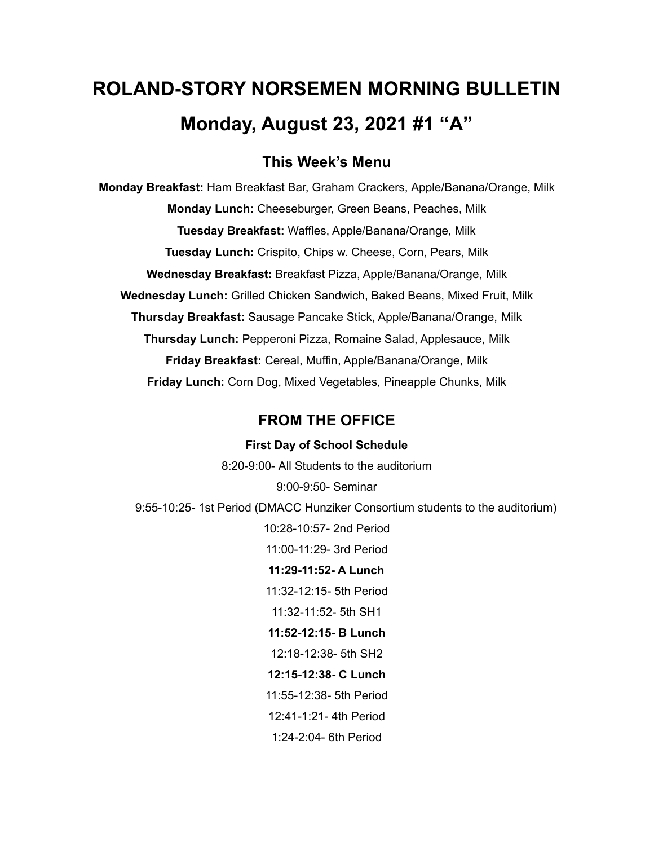# **ROLAND-STORY NORSEMEN MORNING BULLETIN Monday, August 23, 2021 #1 "A"**

#### **This Week's Menu**

**Monday Breakfast:** Ham Breakfast Bar, Graham Crackers, Apple/Banana/Orange, Milk **Monday Lunch:** Cheeseburger, Green Beans, Peaches, Milk **Tuesday Breakfast:** Waffles, Apple/Banana/Orange, Milk **Tuesday Lunch:** Crispito, Chips w. Cheese, Corn, Pears, Milk **Wednesday Breakfast:** Breakfast Pizza, Apple/Banana/Orange, Milk **Wednesday Lunch:** Grilled Chicken Sandwich, Baked Beans, Mixed Fruit, Milk **Thursday Breakfast:** Sausage Pancake Stick, Apple/Banana/Orange, Milk **Thursday Lunch:** Pepperoni Pizza, Romaine Salad, Applesauce, Milk **Friday Breakfast:** Cereal, Muffin, Apple/Banana/Orange, Milk **Friday Lunch:** Corn Dog, Mixed Vegetables, Pineapple Chunks, Milk

#### **FROM THE OFFICE**

## **First Day of School Schedule** 8:20-9:00- All Students to the auditorium 9:00-9:50- Seminar 9:55-10:25**-** 1st Period (DMACC Hunziker Consortium students to the auditorium) 10:28-10:57- 2nd Period 11:00-11:29- 3rd Period **11:29-11:52- A Lunch** 11:32-12:15- 5th Period 11:32-11:52- 5th SH1 **11:52-12:15- B Lunch** 12:18-12:38- 5th SH2 **12:15-12:38- C Lunch** 11:55-12:38- 5th Period 12:41-1:21- 4th Period 1:24-2:04- 6th Period